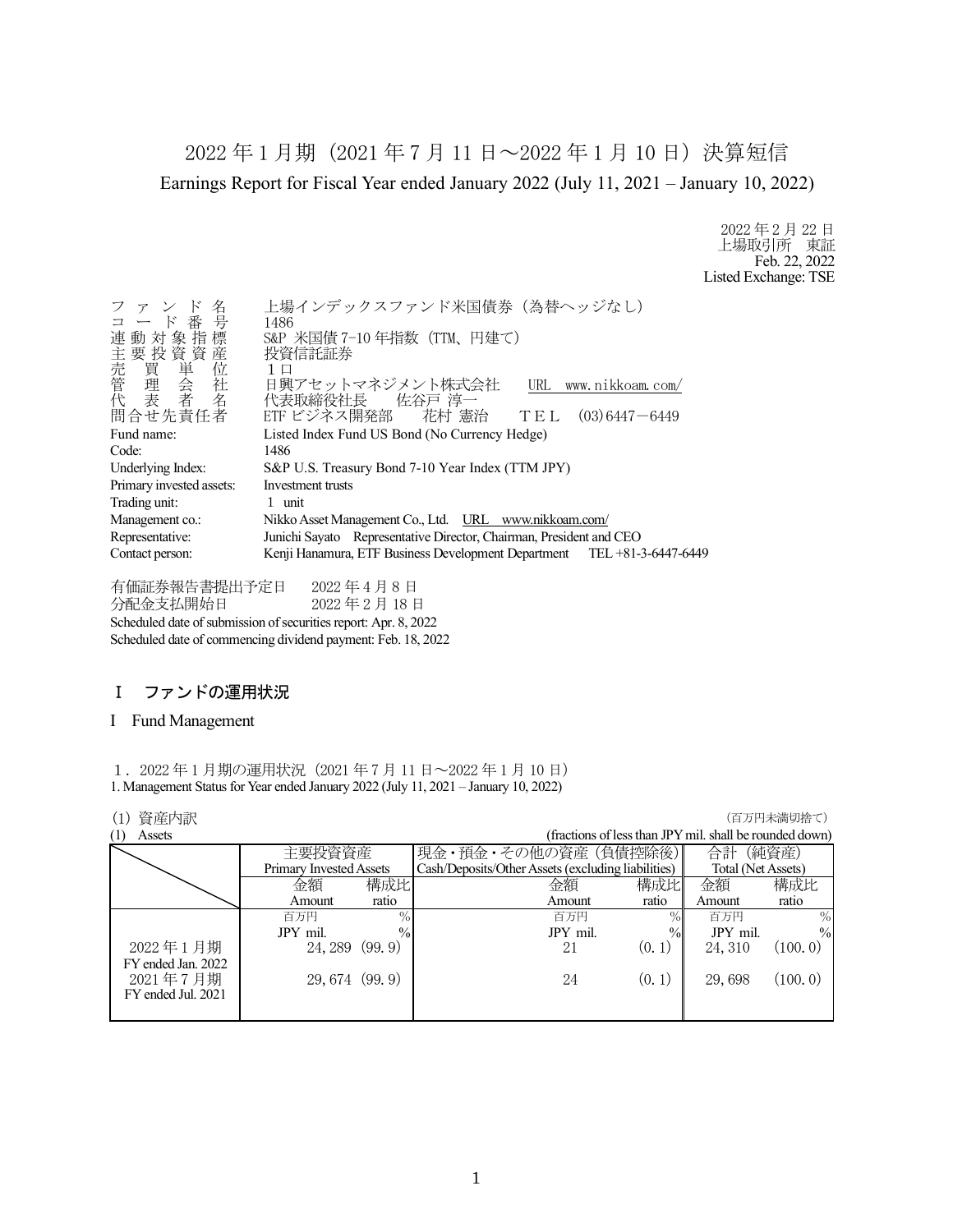2022 年 1 月期(2021 年 7 月 11 日~2022 年 1 月 10 日)決算短信 Earnings Report for Fiscal Year ended January 2022 (July 11, 2021 – January 10, 2022)

> 2022 年 2 月 22 日 上場取引所 東証 Feb. 22, 2022 Listed Exchange: TSE

| ファンド名<br>コード番号<br>連動対象指標                                                               | 上場インデックスファンド米国債券 (為替ヘッジなし)<br>1486<br>S&P 米国債 7-10年指数 (TTM、円建て)<br>投資信託証券                                |
|----------------------------------------------------------------------------------------|----------------------------------------------------------------------------------------------------------|
| H主売管代<br> 数質単会者<br> 数質単会者<br> 整備<br>問合せ先責任者                                            | 1 口<br>日興アセットマネジメント株式会社<br>URL www.nikkoam.com/<br>代表取締役社長 佐谷戸 淳一<br>ETF ビジネス開発部 花村 憲治 TEL (03)6447-6449 |
| Fund name:                                                                             | Listed Index Fund US Bond (No Currency Hedge)                                                            |
| Code:                                                                                  | 1486                                                                                                     |
| Underlying Index:                                                                      | S&P U.S. Treasury Bond 7-10 Year Index (TTM JPY)                                                         |
| Primary invested assets:                                                               | Investment trusts                                                                                        |
| Trading unit:                                                                          | 1 unit                                                                                                   |
| Management co.:                                                                        | Nikko Asset Management Co., Ltd. URL www.nikkoam.com/                                                    |
| Junichi Sayato Representative Director, Chairman, President and CEO<br>Representative: |                                                                                                          |
| Contact person:                                                                        | Kenji Hanamura, ETF Business Development Department TEL +81-3-6447-6449                                  |

有価証券報告書提出予定日 2022 年 4 月 8 日 分配金支払開始日 2022 年 2 月 18 日 Scheduled date of submission of securities report: Apr. 8, 2022 Scheduled date of commencing dividend payment: Feb. 18, 2022

# Ⅰ ファンドの運用状況

### I Fund Management

1.2022 年 1 月期の運用状況(2021 年 7 月 11 日~2022 年 1 月 10 日) 1. Management Status for Year ended January 2022 (July 11, 2021 – January 10, 2022)

| (1) | 資産内訳               |                         |               |                                                    |                                                         |                    | (百万円未満切捨て)    |
|-----|--------------------|-------------------------|---------------|----------------------------------------------------|---------------------------------------------------------|--------------------|---------------|
| (1) | Assets             |                         |               |                                                    | (fractions of less than JPY mil. shall be rounded down) |                    |               |
|     |                    | 主要投資資産                  |               | 現金・預金・その他の資産(負債控除後)                                |                                                         | 合計                 | (純資産)         |
|     |                    | Primary Invested Assets |               | Cash/Deposits/Other Assets (excluding liabilities) |                                                         | Total (Net Assets) |               |
|     |                    | 金額                      | 構成比           | 金額                                                 | 構成比                                                     | 金額                 | 構成比           |
|     |                    | Amount                  | ratio         | Amount                                             | ratio                                                   | Amount             | ratio         |
|     |                    | 百万円                     | $\%$          | 百万円                                                | $\%$                                                    | 百万円                | $\%$          |
|     |                    | JPY mil.                | $\frac{0}{0}$ | JPY mil.                                           | $\%$                                                    | JPY mil.           | $\frac{0}{0}$ |
|     | 2022年1月期           | 24, 289                 | (99.9)        | 21                                                 | (0, 1)                                                  | 24, 310            | (100.0)       |
|     | FY ended Jan. 2022 |                         |               |                                                    |                                                         |                    |               |
|     | 2021年7月期           | 29, 674 (99.9)          |               | 24                                                 | (0, 1)                                                  | 29,698             | (100.0)       |
|     | FY ended Jul. 2021 |                         |               |                                                    |                                                         |                    |               |
|     |                    |                         |               |                                                    |                                                         |                    |               |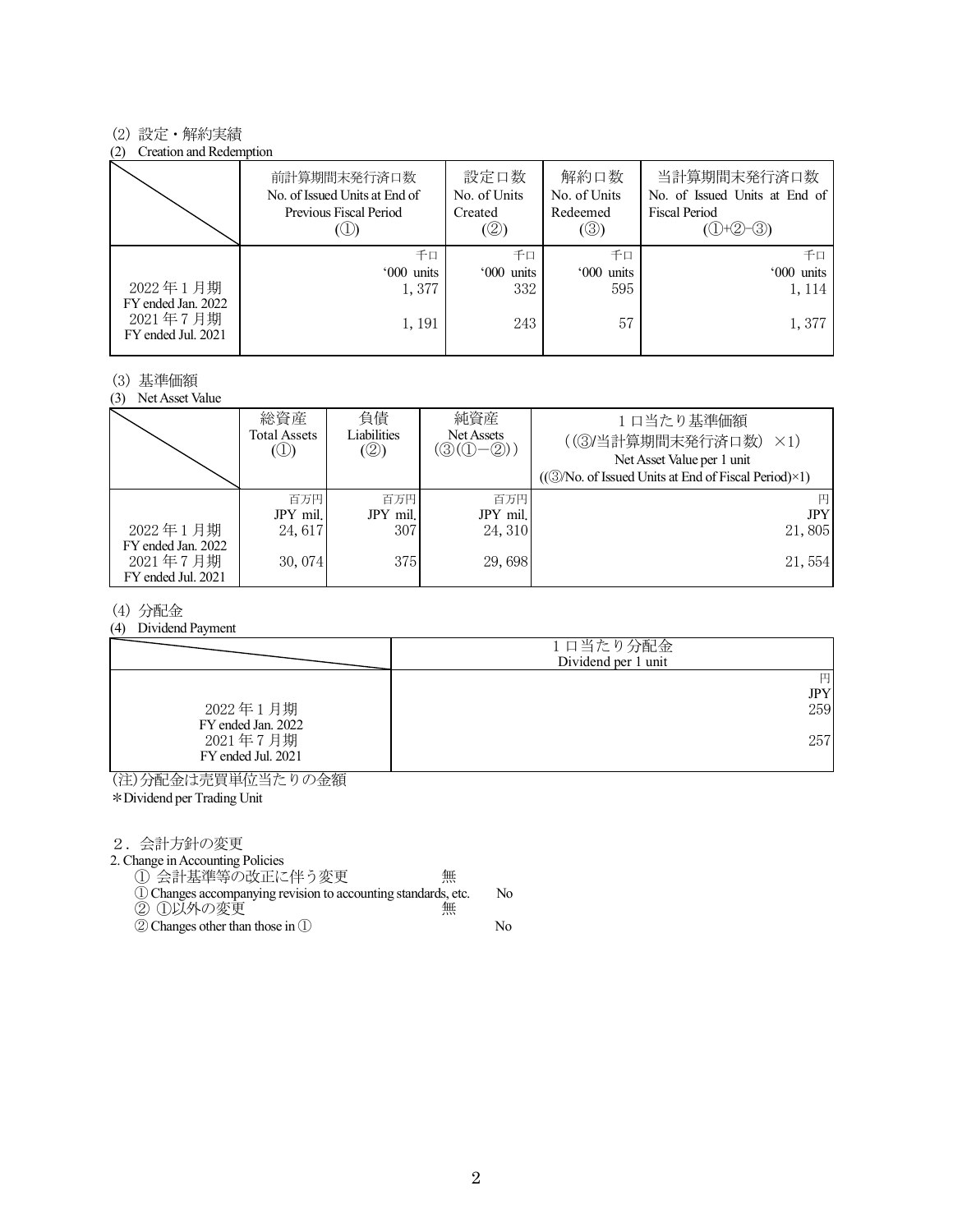## (2) 設定・解約実績

#### (2) Creation and Redemption

|                                                      | 前計算期間末発行済口数<br>No. of Issued Units at End of<br>Previous Fiscal Period | 設定口数<br>No. of Units<br>Created<br>(②) | 解約口数<br>No. of Units<br>Redeemed<br>(③) | 当計算期間末発行済口数<br>No. of Issued Units at End of<br><b>Fiscal Period</b><br>$(①+②-③)$ |
|------------------------------------------------------|------------------------------------------------------------------------|----------------------------------------|-----------------------------------------|-----------------------------------------------------------------------------------|
|                                                      | 千口                                                                     | 千口                                     | 千口                                      | 千口                                                                                |
|                                                      | '000 units                                                             | '000 units                             | '000 units                              | '000 units                                                                        |
| 2022年1月期                                             | 1,377                                                                  | 332                                    | 595                                     | 1, 114                                                                            |
| FY ended Jan. 2022<br>2021年7月期<br>FY ended Jul. 2021 | 1, 191                                                                 | 243                                    | 57                                      | 1,377                                                                             |

### (3) 基準価額

(3) Net Asset Value

|                                                      | 総資産<br>Total Assets<br>$\circledcirc$ | 負債<br>Liabilities<br>(②) | 純資産<br>Net Assets<br>$(\textcircled{3}(\textcircled{1}-\textcircled{2}))$ | 1日当たり基準価額<br>((3)当計算期間末発行済口数)<br>$\times$ 1)<br>Net Asset Value per 1 unit<br>((3) No. of Issued Units at End of Fiscal Period) × 1) |
|------------------------------------------------------|---------------------------------------|--------------------------|---------------------------------------------------------------------------|--------------------------------------------------------------------------------------------------------------------------------------|
|                                                      | 百万円                                   | 百万円                      | 百万円                                                                       | 円                                                                                                                                    |
|                                                      | JPY mil.                              | JPY mil.                 | JPY mil.                                                                  | <b>JPY</b>                                                                                                                           |
| 2022年1月期                                             | 24,617                                | 307                      | 24, 310                                                                   | 21,805                                                                                                                               |
| FY ended Jan. 2022<br>2021年7月期<br>FY ended Jul. 2021 | 30,074                                | 375                      | 29,698                                                                    | 21,554                                                                                                                               |

## (4) 分配金

### (4) Dividend Payment

|                                | 1口当たり分配金<br>Dividend per 1 unit |
|--------------------------------|---------------------------------|
|                                | 円<br>$_{\rm JPY}$               |
| 2022年1月期<br>FY ended Jan. 2022 | 259                             |
| 2021年7月期<br>FY ended Jul. 2021 | 257                             |

(注)分配金は売買単位当たりの金額

\*Dividend per Trading Unit

2.会計方針の変更

2. Change in Accounting Policies

① 会計基準等の改正に伴う変更 無

①Changes accompanying revision to accounting standards, etc. No ② ①以外の変更 無

②Changes other than those in ① No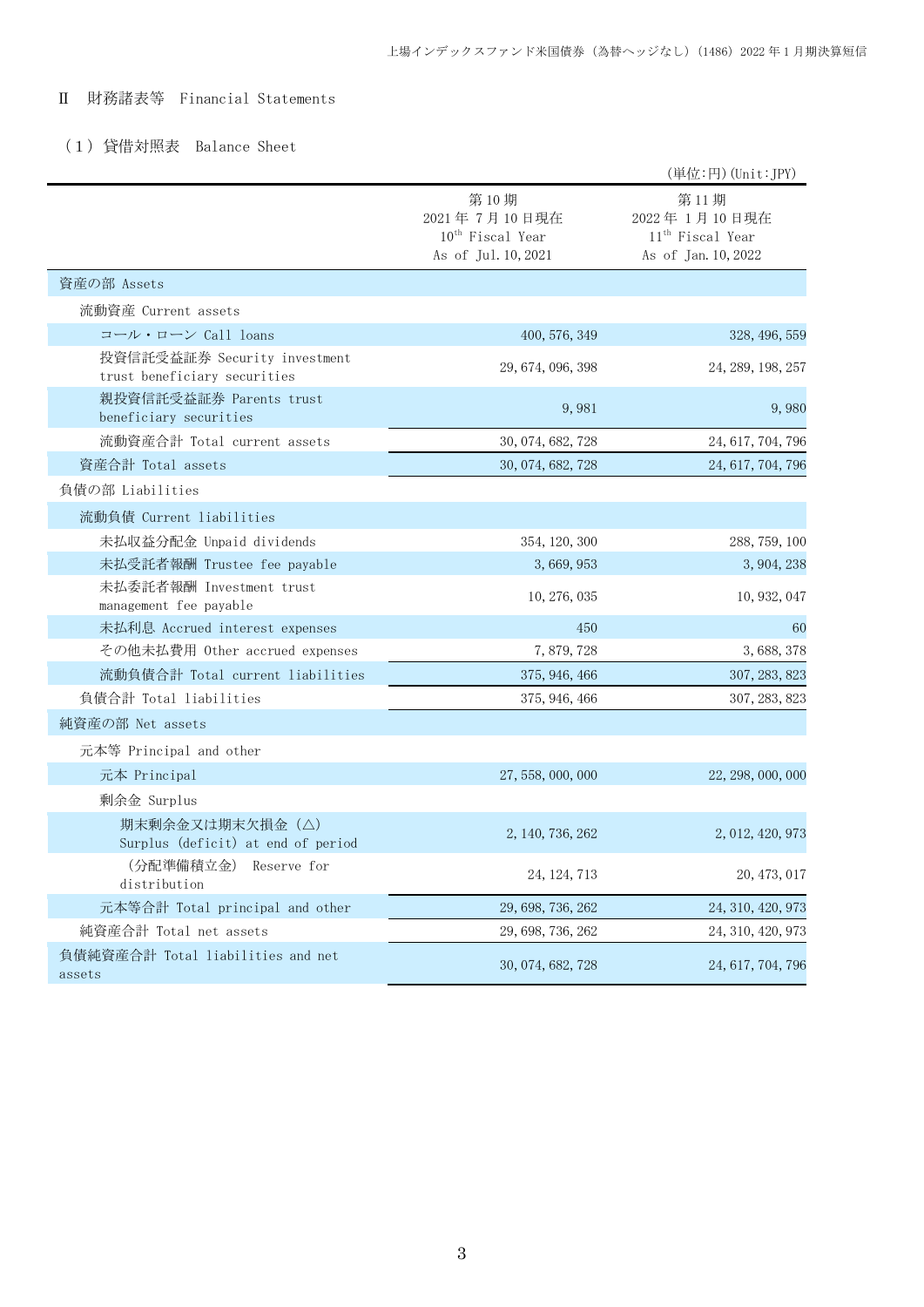# Ⅱ 財務諸表等 Financial Statements

# (1)貸借対照表 Balance Sheet

|                                                              |                                                                      | (単位:円) (Unit: JPY)                                                          |
|--------------------------------------------------------------|----------------------------------------------------------------------|-----------------------------------------------------------------------------|
|                                                              | 第10期<br>2021年7月10日現在<br>$10^{th}$ Fiscal Year<br>As of Jul. 10, 2021 | 第11期<br>2022年1月10日現在<br>11 <sup>th</sup> Fiscal Year<br>As of Jan. 10, 2022 |
| 資産の部 Assets                                                  |                                                                      |                                                                             |
| 流動資産 Current assets                                          |                                                                      |                                                                             |
| コール・ローン Call loans                                           | 400, 576, 349                                                        | 328, 496, 559                                                               |
| 投資信託受益証券 Security investment<br>trust beneficiary securities | 29, 674, 096, 398                                                    | 24, 289, 198, 257                                                           |
| 親投資信託受益証券 Parents trust<br>beneficiary securities            | 9,981                                                                | 9,980                                                                       |
| 流動資産合計 Total current assets                                  | 30, 074, 682, 728                                                    | 24, 617, 704, 796                                                           |
| 資産合計 Total assets                                            | 30, 074, 682, 728                                                    | 24, 617, 704, 796                                                           |
| 負債の部 Liabilities                                             |                                                                      |                                                                             |
| 流動負債 Current liabilities                                     |                                                                      |                                                                             |
| 未払収益分配金 Unpaid dividends                                     | 354, 120, 300                                                        | 288, 759, 100                                                               |
| 未払受託者報酬 Trustee fee payable                                  | 3, 669, 953                                                          | 3, 904, 238                                                                 |
| 未払委託者報酬 Investment trust<br>management fee payable           | 10, 276, 035                                                         | 10, 932, 047                                                                |
| 未払利息 Accrued interest expenses                               | 450                                                                  | 60                                                                          |
| その他未払費用 Other accrued expenses                               | 7,879,728                                                            | 3, 688, 378                                                                 |
| 流動負債合計 Total current liabilities                             | 375, 946, 466                                                        | 307, 283, 823                                                               |
| 負債合計 Total liabilities                                       | 375, 946, 466                                                        | 307, 283, 823                                                               |
| 純資産の部 Net assets                                             |                                                                      |                                                                             |
| 元本等 Principal and other                                      |                                                                      |                                                                             |
| 元本 Principal                                                 | 27, 558, 000, 000                                                    | 22, 298, 000, 000                                                           |
| 剰余金 Surplus                                                  |                                                                      |                                                                             |
| 期末剰余金又は期末欠損金(△)<br>Surplus (deficit) at end of period        | 2, 140, 736, 262                                                     | 2, 012, 420, 973                                                            |
| (分配準備積立金)<br>Reserve for<br>distribution                     | 24, 124, 713                                                         | 20, 473, 017                                                                |
| 元本等合計 Total principal and other                              | 29, 698, 736, 262                                                    | 24, 310, 420, 973                                                           |
| 純資産合計 Total net assets                                       | 29, 698, 736, 262                                                    | 24, 310, 420, 973                                                           |
| 負債純資産合計 Total liabilities and net<br>assets                  | 30, 074, 682, 728                                                    | 24, 617, 704, 796                                                           |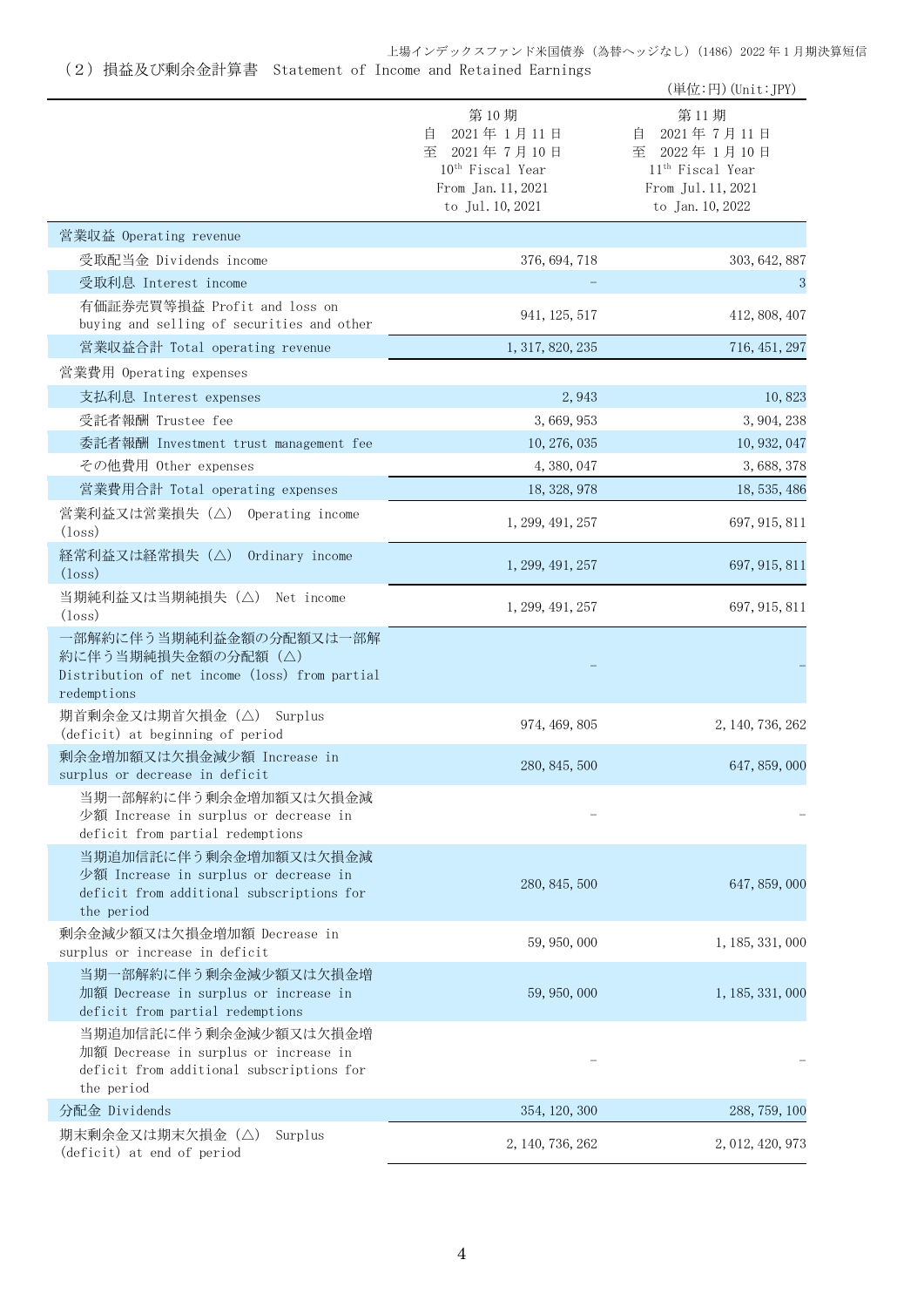上場インデックスファンド米国債券(為替ヘッジなし)(1486)2022 年 1 月期決算短信

(2)損益及び剰余金計算書 Statement of Income and Retained Earnings

|                                                                                                                           |                                                                                                                   | (単位:円) (Unit:JPY)                                                                                                 |
|---------------------------------------------------------------------------------------------------------------------------|-------------------------------------------------------------------------------------------------------------------|-------------------------------------------------------------------------------------------------------------------|
|                                                                                                                           | 第10期<br>2021年1月11日<br>自<br>至 2021年7月10日<br>10 <sup>th</sup> Fiscal Year<br>From Jan. 11, 2021<br>to Jul. 10, 2021 | 第11期<br>2021年7月11日<br>目<br>至 2022年1月10日<br>11 <sup>th</sup> Fiscal Year<br>From Jul. 11, 2021<br>to Jan. 10, 2022 |
| 営業収益 Operating revenue                                                                                                    |                                                                                                                   |                                                                                                                   |
| 受取配当金 Dividends income                                                                                                    | 376, 694, 718                                                                                                     | 303, 642, 887                                                                                                     |
| 受取利息 Interest income                                                                                                      |                                                                                                                   | 3                                                                                                                 |
| 有価証券売買等損益 Profit and loss on<br>buying and selling of securities and other                                                | 941, 125, 517                                                                                                     | 412, 808, 407                                                                                                     |
| 営業収益合計 Total operating revenue                                                                                            | 1, 317, 820, 235                                                                                                  | 716, 451, 297                                                                                                     |
| 営業費用 Operating expenses                                                                                                   |                                                                                                                   |                                                                                                                   |
| 支払利息 Interest expenses                                                                                                    | 2,943                                                                                                             | 10,823                                                                                                            |
| 受託者報酬 Trustee fee                                                                                                         | 3,669,953                                                                                                         | 3, 904, 238                                                                                                       |
| 委託者報酬 Investment trust management fee                                                                                     | 10, 276, 035                                                                                                      | 10, 932, 047                                                                                                      |
| その他費用 Other expenses                                                                                                      | 4, 380, 047                                                                                                       | 3, 688, 378                                                                                                       |
| 営業費用合計 Total operating expenses                                                                                           | 18, 328, 978                                                                                                      | 18, 535, 486                                                                                                      |
| 営業利益又は営業損失 (△) Operating income<br>$(\text{loss})$                                                                        | 1, 299, 491, 257                                                                                                  | 697, 915, 811                                                                                                     |
| 経常利益又は経常損失(△)<br>Ordinary income<br>$(\text{loss})$                                                                       | 1, 299, 491, 257                                                                                                  | 697, 915, 811                                                                                                     |
| 当期純利益又は当期純損失 (△) Net income<br>$(\text{loss})$                                                                            | 1, 299, 491, 257                                                                                                  | 697, 915, 811                                                                                                     |
| 一部解約に伴う当期純利益金額の分配額又は一部解<br>約に伴う当期純損失金額の分配額(△)<br>Distribution of net income (loss) from partial<br>redemptions            |                                                                                                                   |                                                                                                                   |
| 期首剰余金又は期首欠損金 (△) Surplus<br>(deficit) at beginning of period                                                              | 974, 469, 805                                                                                                     | 2, 140, 736, 262                                                                                                  |
| 剰余金増加額又は欠損金減少額 Increase in<br>surplus or decrease in deficit                                                              | 280, 845, 500                                                                                                     | 647, 859, 000                                                                                                     |
| 当期一部解約に伴う剰余金増加額又は欠損金減<br>少額 Increase in surplus or decrease in<br>deficit from partial redemptions                        |                                                                                                                   |                                                                                                                   |
| 当期追加信託に伴う剰余金増加額又は欠損金減<br>少額 Increase in surplus or decrease in<br>deficit from additional subscriptions for<br>the period | 280, 845, 500                                                                                                     | 647, 859, 000                                                                                                     |
| 剰余金減少額又は欠損金増加額 Decrease in<br>surplus or increase in deficit                                                              | 59, 950, 000                                                                                                      | 1, 185, 331, 000                                                                                                  |
| 当期一部解約に伴う剰余金減少額又は欠損金増<br>加額 Decrease in surplus or increase in<br>deficit from partial redemptions                        | 59, 950, 000                                                                                                      | 1, 185, 331, 000                                                                                                  |
| 当期追加信託に伴う剰余金減少額又は欠損金増<br>加額 Decrease in surplus or increase in<br>deficit from additional subscriptions for<br>the period |                                                                                                                   |                                                                                                                   |
| 分配金 Dividends                                                                                                             | 354, 120, 300                                                                                                     | 288, 759, 100                                                                                                     |
| 期末剰余金又は期末欠損金(△)<br>Surplus<br>(deficit) at end of period                                                                  | 2, 140, 736, 262                                                                                                  | 2, 012, 420, 973                                                                                                  |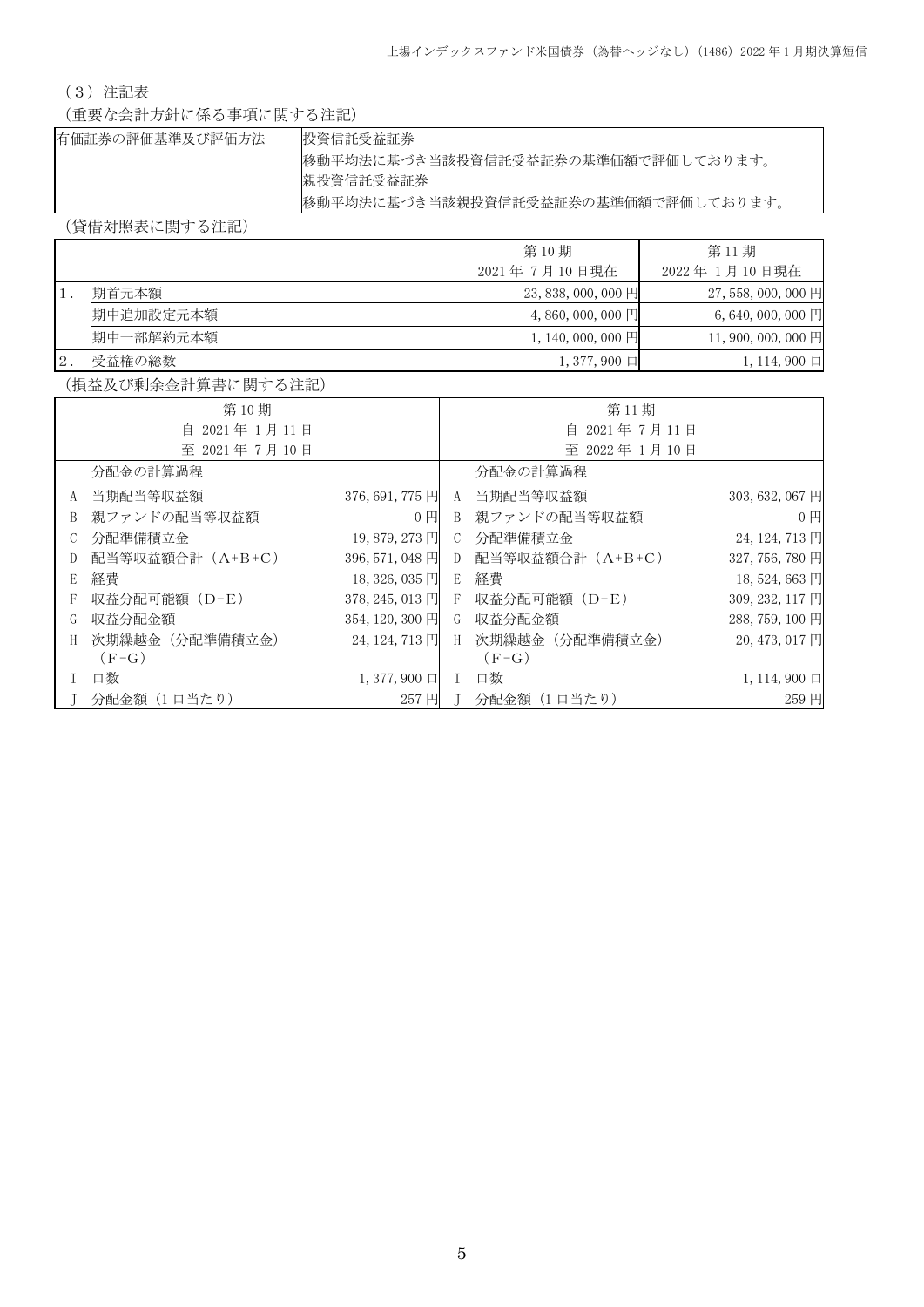# (3)注記表

(重要な会計方針に係る事項に関する注記)

| 有価証券の評価基準及び評価方法 | 投資信託受益証券                            |
|-----------------|-------------------------------------|
|                 | 移動平均法に基づき当該投資信託受益証券の基準価額で評価しております。  |
|                 | 親投資信託受益証券                           |
|                 | 移動平均法に基づき当該親投資信託受益証券の基準価額で評価しております。 |

(貸借対照表に関する注記)

|    |           | 第10期                 | 第11期                |
|----|-----------|----------------------|---------------------|
|    |           | 2021年7月10日現在         | 2022年 1月10日現在       |
|    | 期首元本額     | $23,838,000,000$ 円   | 27, 558, 000, 000 円 |
|    | 期中追加設定元本額 | $4,860,000,000$ 円    | $6,640,000,000$ 円   |
|    | 期中一部解約元本額 | $1, 140, 000, 000$ 円 | 11,900,000,000円     |
| 2. | 受益権の総数    | $1, 377, 900 \Box$   | $1, 114, 900 \Box$  |

(損益及び剰余金計算書に関する注記)

|              | 第10期             |                    |                 | 第11期                            |                    |
|--------------|------------------|--------------------|-----------------|---------------------------------|--------------------|
|              | 自 2021年1月11日     |                    | 自 2021年7月11日    |                                 |                    |
|              | 至 2021年7月10日     |                    |                 | 至 2022年1月10日                    |                    |
|              | 分配金の計算過程         |                    |                 | 分配金の計算過程                        |                    |
|              | A 当期配当等収益額       | 376, 691, 775 円    | A               | 当期配当等収益額                        | 303, 632, 067 円    |
| <sup>B</sup> | 親ファンドの配当等収益額     | $0$ $\Box$         | B.              | 親ファンドの配当等収益額                    | 0 <sub>1</sub>     |
| C.           | 分配準備積立金          | 19,879,273円        | $\mathcal{C}^-$ | 分配準備積立金                         | 24, 124, 713 円     |
| D            | 配当等収益額合計 (A+B+C) | 396, 571, 048 円    | D               | 配当等収益額合計(A+B+C)                 | 327, 756, 780 円    |
| E            | 経費               | 18, 326, 035 円     | E               | 経費                              | 18,524,663円        |
|              | 収益分配可能額(D-E)     |                    |                 | 378, 245, 013 円 F 収益分配可能額 (D-E) | 309, 232, 117 円    |
| G            | 収益分配金額           | 354, 120, 300 円    |                 | G 収益分配金額                        | 288, 759, 100 円    |
| H            | 次期繰越金(分配準備積立金)   | 24, 124, 713 円     | H               | 次期繰越金(分配準備積立金)                  | 20, 473, 017 円     |
|              | $(F-G)$          |                    |                 | $(F-G)$                         |                    |
|              | 口数               | $1,377,900$ $\Box$ | L               | 口数                              | $1, 114, 900 \Box$ |
|              | 分配金額(1口当たり)      | 257円               |                 | 分配金額 (1口当たり)                    | 259円               |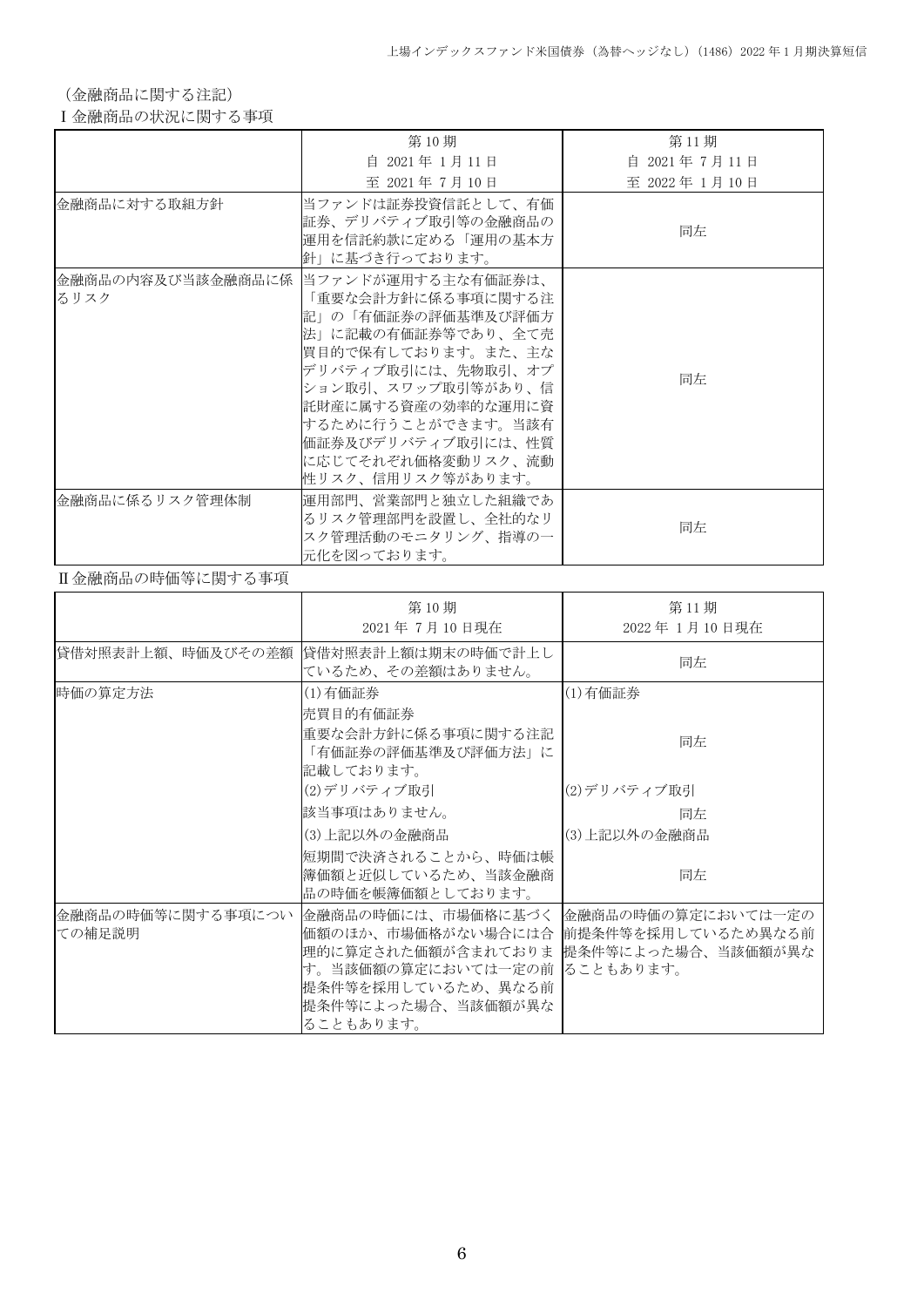(金融商品に関する注記)

## Ⅰ金融商品の状況に関する事項

|                | 第10期                                                                                                                                                                                                                                                                                         | 第11期          |
|----------------|----------------------------------------------------------------------------------------------------------------------------------------------------------------------------------------------------------------------------------------------------------------------------------------------|---------------|
|                | 自 2021年 1月11日                                                                                                                                                                                                                                                                                | 自 2021年7月11日  |
|                | 至 2021年7月10日                                                                                                                                                                                                                                                                                 | 至 2022年 1月10日 |
| 金融商品に対する取組方針   | 当ファンドは証券投資信託として、有価<br>証券、デリバティブ取引等の金融商品の<br>運用を信託約款に定める「運用の基本方<br>針」に基づき行っております。                                                                                                                                                                                                             | 同左            |
| るリスク           | 金融商品の内容及び当該金融商品に係  当ファンドが運用する主な有価証券は、<br>「重要な会計方針に係る事項に関する注<br>記」の「有価証券の評価基準及び評価方<br>法」に記載の有価証券等であり、全て売<br> 買目的で保有しております。また、主な<br> デリバティブ取引には、先物取引、オプ<br> ション取引、スワップ取引等があり、信 <br>託財産に属する資産の効率的な運用に資<br> するために行うことができます。当該有<br>価証券及びデリバティブ取引には、性質<br>に応じてそれぞれ価格変動リスク、流動<br> 性リスク、信用リスク等があります。 | 同左            |
| 金融商品に係るリスク管理体制 | 運用部門、営業部門と独立した組織であ<br>るリスク管理部門を設置し、全社的なリ<br>スク管理活動のモニタリング、指導の一<br> 元化を図っております。                                                                                                                                                                                                               | 同左            |

## Ⅱ金融商品の時価等に関する事項

|                             | 第10期<br>2021年7月10日現在                                                                                                                                                                                               | 第11期<br>2022年 1月10日現在 |
|-----------------------------|--------------------------------------------------------------------------------------------------------------------------------------------------------------------------------------------------------------------|-----------------------|
| 貸借対照表計上額、時価及びその差額           | 貸借対照表計上額は期末の時価で計上し<br>ているため、その差額はありません。                                                                                                                                                                            | 同左                    |
| 時価の算定方法                     | (1)有価証券<br>売買目的有価証券                                                                                                                                                                                                | (1) 有価証券              |
|                             | 重要な会計方針に係る事項に関する注記<br>「有価証券の評価基準及び評価方法」に<br>記載しております。                                                                                                                                                              | 同左                    |
|                             | (2)デリバティブ取引                                                                                                                                                                                                        | (2)デリバティブ取引           |
|                             | 該当事項はありません。                                                                                                                                                                                                        | 同左                    |
|                             | (3)上記以外の金融商品                                                                                                                                                                                                       | (3)上記以外の金融商品          |
|                             | 短期間で決済されることから、時価は帳<br> 簿価額と近似しているため、当該金融商<br>品の時価を帳簿価額としております。                                                                                                                                                     | 同左                    |
| 金融商品の時価等に関する事項につい<br>ての補足説明 | 金融商品の時価には、市場価格に基づく  金融商品の時価の算定においては一定の<br>価額のほか、市場価格がない場合には合  前提条件等を採用しているため異なる前<br>理的に算定された価額が含まれておりま 提条件等によった場合、当該価額が異な<br>す。当該価額の算定においては一定の前 ることもあります。<br>提条件等を採用しているため、異なる前<br>提条件等によった場合、当該価額が異な<br>ることもあります。 |                       |